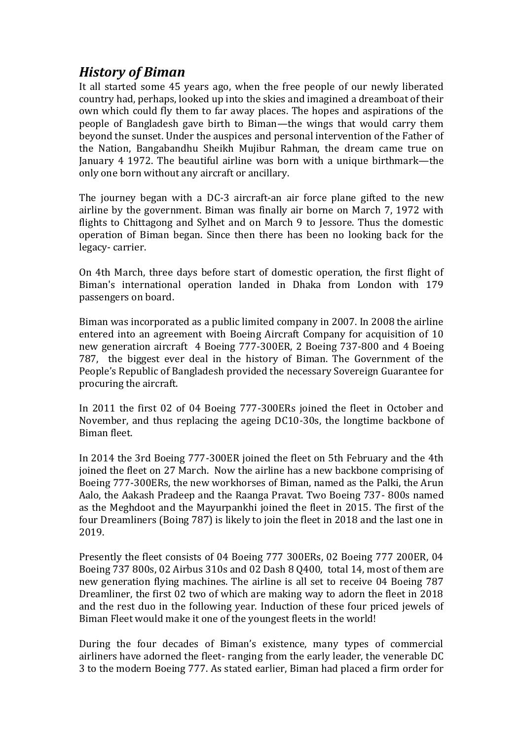# *History of Biman*

It all started some 45 years ago, when the free people of our newly liberated country had, perhaps, looked up into the skies and imagined a dreamboat of their own which could fly them to far away places. The hopes and aspirations of the people of Bangladesh gave birth to Biman—the wings that would carry them beyond the sunset. Under the auspices and personal intervention of the Father of the Nation, Bangabandhu Sheikh Mujibur Rahman, the dream came true on January 4 1972. The beautiful airline was born with a unique birthmark—the only one born without any aircraft or ancillary.

The journey began with a DC-3 aircraft-an air force plane gifted to the new airline by the government. Biman was finally air borne on March 7, 1972 with flights to Chittagong and Sylhet and on March 9 to Jessore. Thus the domestic operation of Biman began. Since then there has been no looking back for the legacy- carrier.

On 4th March, three days before start of domestic operation, the first flight of Biman's international operation landed in Dhaka from London with 179 passengers on board.

Biman was incorporated as a public limited company in 2007. In 2008 the airline entered into an agreement with Boeing Aircraft Company for acquisition of 10 new generation aircraft 4 Boeing 777-300ER, 2 Boeing 737-800 and 4 Boeing 787, the biggest ever deal in the history of Biman. The Government of the People's Republic of Bangladesh provided the necessary Sovereign Guarantee for procuring the aircraft.

In 2011 the first 02 of 04 Boeing 777-300ERs joined the fleet in October and November, and thus replacing the ageing DC10-30s, the longtime backbone of Biman fleet.

In 2014 the 3rd Boeing 777-300ER joined the fleet on 5th February and the 4th joined the fleet on 27 March. Now the airline has a new backbone comprising of Boeing 777-300ERs, the new workhorses of Biman, named as the Palki, the Arun Aalo, the Aakash Pradeep and the Raanga Pravat. Two Boeing 737- 800s named as the Meghdoot and the Mayurpankhi joined the fleet in 2015. The first of the four Dreamliners (Boing 787) is likely to join the fleet in 2018 and the last one in 2019.

Presently the fleet consists of 04 Boeing 777 300ERs, 02 Boeing 777 200ER, 04 Boeing 737 800s, 02 Airbus 310s and 02 Dash 8 Q400, total 14, most of them are new generation flying machines. The airline is all set to receive 04 Boeing 787 Dreamliner, the first 02 two of which are making way to adorn the fleet in 2018 and the rest duo in the following year. Induction of these four priced jewels of Biman Fleet would make it one of the youngest fleets in the world!

During the four decades of Biman's existence, many types of commercial airliners have adorned the fleet- ranging from the early leader, the venerable DC 3 to the modern Boeing 777. As stated earlier, Biman had placed a firm order for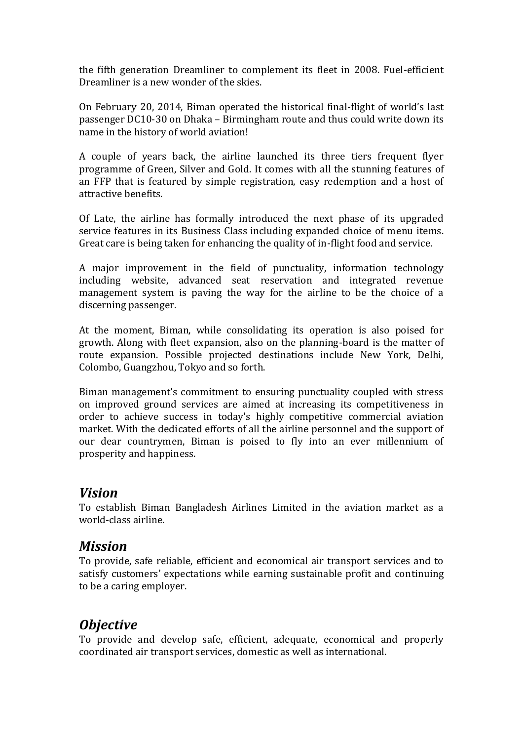the fifth generation Dreamliner to complement its fleet in 2008. Fuel-efficient Dreamliner is a new wonder of the skies.

On February 20, 2014, Biman operated the historical final-flight of world's last passenger DC10-30 on Dhaka – Birmingham route and thus could write down its name in the history of world aviation!

A couple of years back, the airline launched its three tiers frequent flyer programme of Green, Silver and Gold. It comes with all the stunning features of an FFP that is featured by simple registration, easy redemption and a host of attractive benefits.

Of Late, the airline has formally introduced the next phase of its upgraded service features in its Business Class including expanded choice of menu items. Great care is being taken for enhancing the quality of in-flight food and service.

A major improvement in the field of punctuality, information technology including website, advanced seat reservation and integrated revenue management system is paving the way for the airline to be the choice of a discerning passenger.

At the moment, Biman, while consolidating its operation is also poised for growth. Along with fleet expansion, also on the planning-board is the matter of route expansion. Possible projected destinations include New York, Delhi, Colombo, Guangzhou, Tokyo and so forth.

Biman management's commitment to ensuring punctuality coupled with stress on improved ground services are aimed at increasing its competitiveness in order to achieve success in today's highly competitive commercial aviation market. With the dedicated efforts of all the airline personnel and the support of our dear countrymen, Biman is poised to fly into an ever millennium of prosperity and happiness.

### *Vision*

To establish Biman Bangladesh Airlines Limited in the aviation market as a world-class airline.

### *Mission*

To provide, safe reliable, efficient and economical air transport services and to satisfy customers' expectations while earning sustainable profit and continuing to be a caring employer.

# *Objective*

To provide and develop safe, efficient, adequate, economical and properly coordinated air transport services, domestic as well as international.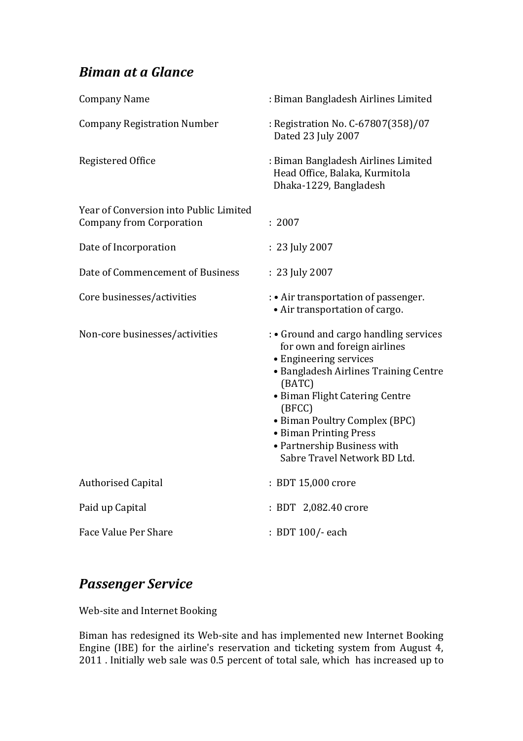# *Biman at a Glance*

| <b>Company Name</b>                                                       | : Biman Bangladesh Airlines Limited                                                                                                                                                   |
|---------------------------------------------------------------------------|---------------------------------------------------------------------------------------------------------------------------------------------------------------------------------------|
| <b>Company Registration Number</b>                                        | : Registration No. C-67807(358)/07<br>Dated 23 July 2007                                                                                                                              |
| Registered Office                                                         | : Biman Bangladesh Airlines Limited<br>Head Office, Balaka, Kurmitola<br>Dhaka-1229, Bangladesh                                                                                       |
| Year of Conversion into Public Limited<br><b>Company from Corporation</b> | : 2007                                                                                                                                                                                |
| Date of Incorporation                                                     | : 23 July 2007                                                                                                                                                                        |
| Date of Commencement of Business                                          | : 23 July 2007                                                                                                                                                                        |
| Core businesses/activities                                                | : • Air transportation of passenger.<br>• Air transportation of cargo.                                                                                                                |
| Non-core businesses/activities                                            | : • Ground and cargo handling services<br>for own and foreign airlines<br>• Engineering services<br>• Bangladesh Airlines Training Centre<br>(BATC)<br>• Biman Flight Catering Centre |
|                                                                           | (BFCC)<br>• Biman Poultry Complex (BPC)<br>• Biman Printing Press<br>• Partnership Business with<br>Sabre Travel Network BD Ltd.                                                      |
| <b>Authorised Capital</b>                                                 | : BDT 15,000 crore                                                                                                                                                                    |
| Paid up Capital                                                           | : BDT 2,082.40 crore                                                                                                                                                                  |

# *Passenger Service*

Web-site and Internet Booking

Biman has redesigned its Web-site and has implemented new Internet Booking Engine (IBE) for the airline's reservation and ticketing system from August 4, 2011 . Initially web sale was 0.5 percent of total sale, which has increased up to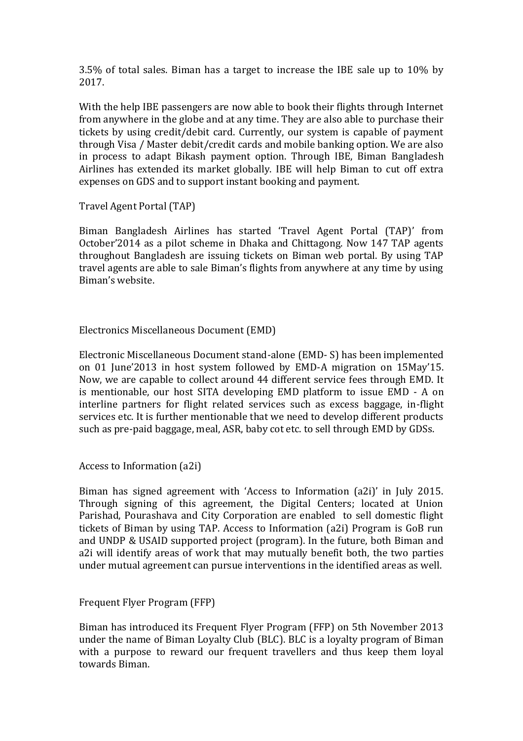3.5% of total sales. Biman has a target to increase the IBE sale up to 10% by 2017.

With the help IBE passengers are now able to book their flights through Internet from anywhere in the globe and at any time. They are also able to purchase their tickets by using credit/debit card. Currently, our system is capable of payment through Visa / Master debit/credit cards and mobile banking option. We are also in process to adapt Bikash payment option. Through IBE, Biman Bangladesh Airlines has extended its market globally. IBE will help Biman to cut off extra expenses on GDS and to support instant booking and payment.

Travel Agent Portal (TAP)

Biman Bangladesh Airlines has started 'Travel Agent Portal (TAP)' from October'2014 as a pilot scheme in Dhaka and Chittagong. Now 147 TAP agents throughout Bangladesh are issuing tickets on Biman web portal. By using TAP travel agents are able to sale Biman's flights from anywhere at any time by using Biman's website.

### Electronics Miscellaneous Document (EMD)

Electronic Miscellaneous Document stand-alone (EMD- S) has been implemented on 01 June'2013 in host system followed by EMD-A migration on 15May'15. Now, we are capable to collect around 44 different service fees through EMD. It is mentionable, our host SITA developing EMD platform to issue EMD - A on interline partners for flight related services such as excess baggage, in-flight services etc. It is further mentionable that we need to develop different products such as pre-paid baggage, meal, ASR, baby cot etc. to sell through EMD by GDSs.

Access to Information (a2i)

Biman has signed agreement with 'Access to Information (a2i)' in July 2015. Through signing of this agreement, the Digital Centers; located at Union Parishad, Pourashava and City Corporation are enabled to sell domestic flight tickets of Biman by using TAP. Access to Information (a2i) Program is GoB run and UNDP & USAID supported project (program). In the future, both Biman and a2i will identify areas of work that may mutually benefit both, the two parties under mutual agreement can pursue interventions in the identified areas as well.

Frequent Flyer Program (FFP)

Biman has introduced its Frequent Flyer Program (FFP) on 5th November 2013 under the name of Biman Loyalty Club (BLC). BLC is a loyalty program of Biman with a purpose to reward our frequent travellers and thus keep them loyal towards Biman.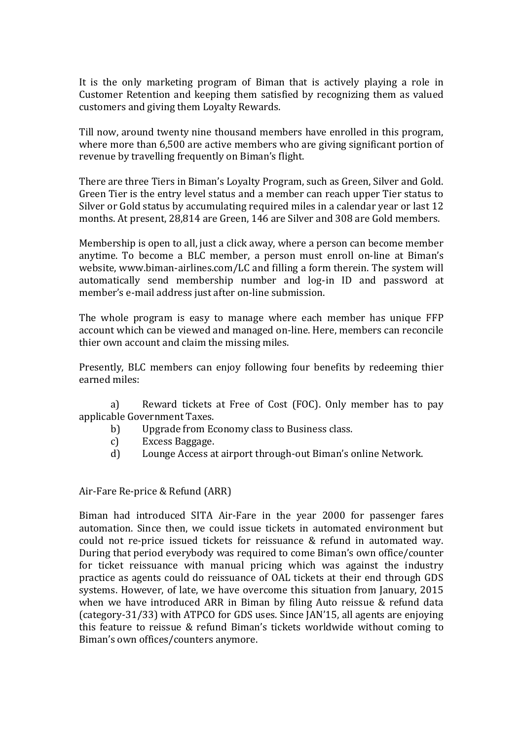It is the only marketing program of Biman that is actively playing a role in Customer Retention and keeping them satisfied by recognizing them as valued customers and giving them Loyalty Rewards.

Till now, around twenty nine thousand members have enrolled in this program, where more than 6,500 are active members who are giving significant portion of revenue by travelling frequently on Biman's flight.

There are three Tiers in Biman's Loyalty Program, such as Green, Silver and Gold. Green Tier is the entry level status and a member can reach upper Tier status to Silver or Gold status by accumulating required miles in a calendar year or last 12 months. At present, 28,814 are Green, 146 are Silver and 308 are Gold members.

Membership is open to all, just a click away, where a person can become member anytime. To become a BLC member, a person must enroll on-line at Biman's website, www.biman-airlines.com/LC and filling a form therein. The system will automatically send membership number and log-in ID and password at member's e-mail address just after on-line submission.

The whole program is easy to manage where each member has unique FFP account which can be viewed and managed on-line. Here, members can reconcile thier own account and claim the missing miles.

Presently, BLC members can enjoy following four benefits by redeeming thier earned miles:

a) Reward tickets at Free of Cost (FOC). Only member has to pay applicable Government Taxes.

- b) Upgrade from Economy class to Business class.
- c) Excess Baggage.
- d) Lounge Access at airport through-out Biman's online Network.

Air-Fare Re-price & Refund (ARR)

Biman had introduced SITA Air-Fare in the year 2000 for passenger fares automation. Since then, we could issue tickets in automated environment but could not re-price issued tickets for reissuance & refund in automated way. During that period everybody was required to come Biman's own office/counter for ticket reissuance with manual pricing which was against the industry practice as agents could do reissuance of OAL tickets at their end through GDS systems. However, of late, we have overcome this situation from January, 2015 when we have introduced ARR in Biman by filing Auto reissue & refund data (category-31/33) with ATPCO for GDS uses. Since JAN'15, all agents are enjoying this feature to reissue & refund Biman's tickets worldwide without coming to Biman's own offices/counters anymore.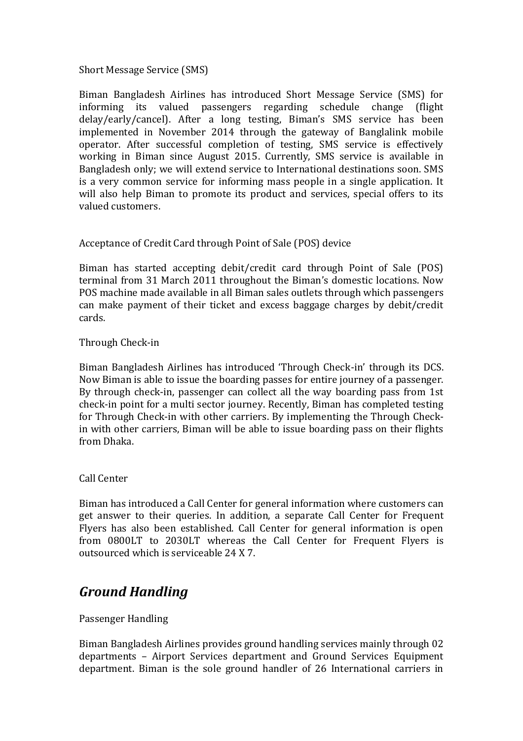### Short Message Service (SMS)

Biman Bangladesh Airlines has introduced Short Message Service (SMS) for informing its valued passengers regarding schedule change (flight delay/early/cancel). After a long testing, Biman's SMS service has been implemented in November 2014 through the gateway of Banglalink mobile operator. After successful completion of testing, SMS service is effectively working in Biman since August 2015. Currently, SMS service is available in Bangladesh only; we will extend service to International destinations soon. SMS is a very common service for informing mass people in a single application. It will also help Biman to promote its product and services, special offers to its valued customers.

### Acceptance of Credit Card through Point of Sale (POS) device

Biman has started accepting debit/credit card through Point of Sale (POS) terminal from 31 March 2011 throughout the Biman's domestic locations. Now POS machine made available in all Biman sales outlets through which passengers can make payment of their ticket and excess baggage charges by debit/credit cards.

#### Through Check-in

Biman Bangladesh Airlines has introduced 'Through Check-in' through its DCS. Now Biman is able to issue the boarding passes for entire journey of a passenger. By through check-in, passenger can collect all the way boarding pass from 1st check-in point for a multi sector journey. Recently, Biman has completed testing for Through Check-in with other carriers. By implementing the Through Checkin with other carriers, Biman will be able to issue boarding pass on their flights from Dhaka.

#### Call Center

Biman has introduced a Call Center for general information where customers can get answer to their queries. In addition, a separate Call Center for Frequent Flyers has also been established. Call Center for general information is open from 0800LT to 2030LT whereas the Call Center for Frequent Flyers is outsourced which is serviceable 24 X 7.

### *Ground Handling*

### Passenger Handling

Biman Bangladesh Airlines provides ground handling services mainly through 02 departments – Airport Services department and Ground Services Equipment department. Biman is the sole ground handler of 26 International carriers in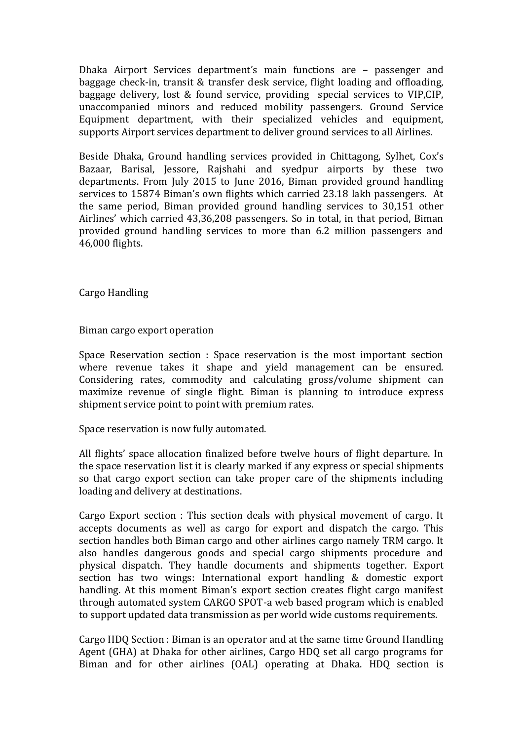Dhaka Airport Services department's main functions are – passenger and baggage check-in, transit & transfer desk service, flight loading and offloading, baggage delivery, lost & found service, providing special services to VIP,CIP, unaccompanied minors and reduced mobility passengers. Ground Service Equipment department, with their specialized vehicles and equipment, supports Airport services department to deliver ground services to all Airlines.

Beside Dhaka, Ground handling services provided in Chittagong, Sylhet, Cox's Bazaar, Barisal, Jessore, Rajshahi and syedpur airports by these two departments. From July 2015 to June 2016, Biman provided ground handling services to 15874 Biman's own flights which carried 23.18 lakh passengers. At the same period, Biman provided ground handling services to 30,151 other Airlines' which carried 43,36,208 passengers. So in total, in that period, Biman provided ground handling services to more than 6.2 million passengers and 46,000 flights.

Cargo Handling

Biman cargo export operation

Space Reservation section : Space reservation is the most important section where revenue takes it shape and yield management can be ensured. Considering rates, commodity and calculating gross/volume shipment can maximize revenue of single flight. Biman is planning to introduce express shipment service point to point with premium rates.

Space reservation is now fully automated.

All flights' space allocation finalized before twelve hours of flight departure. In the space reservation list it is clearly marked if any express or special shipments so that cargo export section can take proper care of the shipments including loading and delivery at destinations.

Cargo Export section : This section deals with physical movement of cargo. It accepts documents as well as cargo for export and dispatch the cargo. This section handles both Biman cargo and other airlines cargo namely TRM cargo. It also handles dangerous goods and special cargo shipments procedure and physical dispatch. They handle documents and shipments together. Export section has two wings: International export handling & domestic export handling. At this moment Biman's export section creates flight cargo manifest through automated system CARGO SPOT-a web based program which is enabled to support updated data transmission as per world wide customs requirements.

Cargo HDQ Section : Biman is an operator and at the same time Ground Handling Agent (GHA) at Dhaka for other airlines, Cargo HDQ set all cargo programs for Biman and for other airlines (OAL) operating at Dhaka. HDQ section is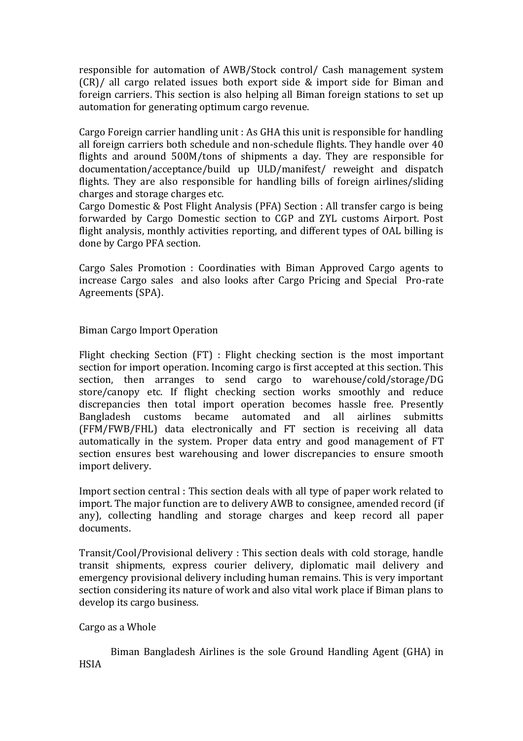responsible for automation of AWB/Stock control/ Cash management system (CR)/ all cargo related issues both export side & import side for Biman and foreign carriers. This section is also helping all Biman foreign stations to set up automation for generating optimum cargo revenue.

Cargo Foreign carrier handling unit : As GHA this unit is responsible for handling all foreign carriers both schedule and non-schedule flights. They handle over 40 flights and around 500M/tons of shipments a day. They are responsible for documentation/acceptance/build up ULD/manifest/ reweight and dispatch flights. They are also responsible for handling bills of foreign airlines/sliding charges and storage charges etc.

Cargo Domestic & Post Flight Analysis (PFA) Section : All transfer cargo is being forwarded by Cargo Domestic section to CGP and ZYL customs Airport. Post flight analysis, monthly activities reporting, and different types of OAL billing is done by Cargo PFA section.

Cargo Sales Promotion : Coordinaties with Biman Approved Cargo agents to increase Cargo sales and also looks after Cargo Pricing and Special Pro-rate Agreements (SPA).

### Biman Cargo Import Operation

Flight checking Section (FT) : Flight checking section is the most important section for import operation. Incoming cargo is first accepted at this section. This section, then arranges to send cargo to warehouse/cold/storage/DG store/canopy etc. If flight checking section works smoothly and reduce discrepancies then total import operation becomes hassle free. Presently Bangladesh customs became automated and all airlines submitts (FFM/FWB/FHL) data electronically and FT section is receiving all data automatically in the system. Proper data entry and good management of FT section ensures best warehousing and lower discrepancies to ensure smooth import delivery.

Import section central : This section deals with all type of paper work related to import. The major function are to delivery AWB to consignee, amended record (if any), collecting handling and storage charges and keep record all paper documents.

Transit/Cool/Provisional delivery : This section deals with cold storage, handle transit shipments, express courier delivery, diplomatic mail delivery and emergency provisional delivery including human remains. This is very important section considering its nature of work and also vital work place if Biman plans to develop its cargo business.

### Cargo as a Whole

Biman Bangladesh Airlines is the sole Ground Handling Agent (GHA) in HSIA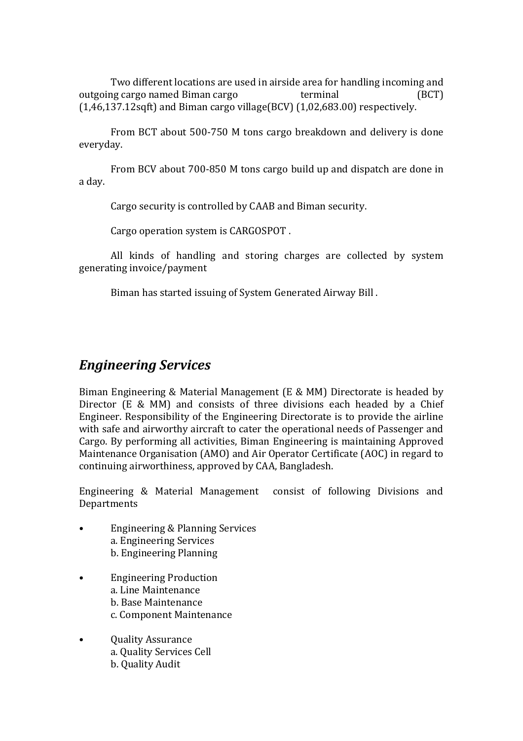Two different locations are used in airside area for handling incoming and outgoing cargo named Biman cargo terminal (BCT)  $(1,46,137.12$ sqft) and Biman cargo village(BCV) $(1,02,683.00)$  respectively.

From BCT about 500-750 M tons cargo breakdown and delivery is done everyday.

From BCV about 700-850 M tons cargo build up and dispatch are done in a day.

Cargo security is controlled by CAAB and Biman security.

Cargo operation system is CARGOSPOT .

All kinds of handling and storing charges are collected by system generating invoice/payment

Biman has started issuing of System Generated Airway Bill .

### *Engineering Services*

Biman Engineering & Material Management (E & MM) Directorate is headed by Director (E & MM) and consists of three divisions each headed by a Chief Engineer. Responsibility of the Engineering Directorate is to provide the airline with safe and airworthy aircraft to cater the operational needs of Passenger and Cargo. By performing all activities, Biman Engineering is maintaining Approved Maintenance Organisation (AMO) and Air Operator Certificate (AOC) in regard to continuing airworthiness, approved by CAA, Bangladesh.

Engineering & Material Management consist of following Divisions and **Departments** 

- Engineering & Planning Services a. Engineering Services b. Engineering Planning
- Engineering Production a. Line Maintenance b. Base Maintenance c. Component Maintenance
- Quality Assurance a. Quality Services Cell b. Quality Audit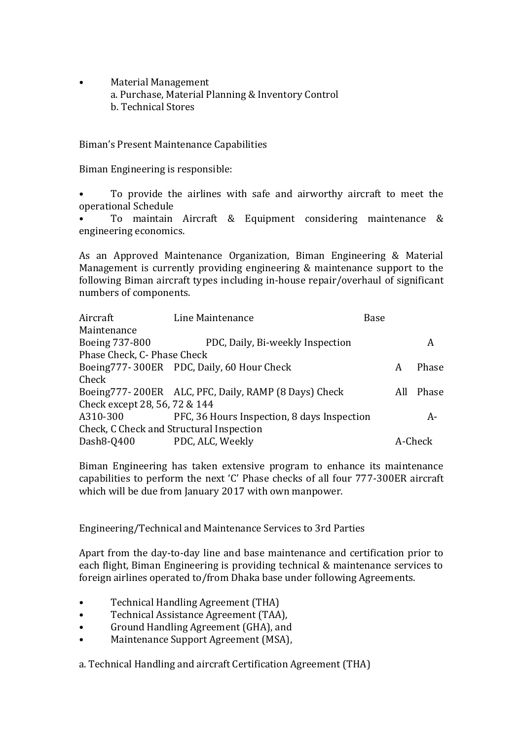• Material Management a. Purchase, Material Planning & Inventory Control b. Technical Stores

Biman's Present Maintenance Capabilities

Biman Engineering is responsible:

• To provide the airlines with safe and airworthy aircraft to meet the operational Schedule

• To maintain Aircraft & Equipment considering maintenance & engineering economics.

As an Approved Maintenance Organization, Biman Engineering & Material Management is currently providing engineering & maintenance support to the following Biman aircraft types including in-house repair/overhaul of significant numbers of components.

| Aircraft                                 | Line Maintenance                                     | Base |     |         |
|------------------------------------------|------------------------------------------------------|------|-----|---------|
| Maintenance                              |                                                      |      |     |         |
| Boeing 737-800                           | PDC, Daily, Bi-weekly Inspection                     |      |     | A       |
| Phase Check, C- Phase Check              |                                                      |      |     |         |
|                                          | Boeing777-300ER PDC, Daily, 60 Hour Check            |      | A   | Phase   |
| Check                                    |                                                      |      |     |         |
|                                          | Boeing777-200ER ALC, PFC, Daily, RAMP (8 Days) Check |      | All | Phase   |
| Check except 28, 56, 72 & 144            |                                                      |      |     |         |
| A310-300                                 | PFC, 36 Hours Inspection, 8 days Inspection          |      |     | A-      |
| Check, C Check and Structural Inspection |                                                      |      |     |         |
| Dash8-Q400                               | PDC, ALC, Weekly                                     |      |     | A-Check |

Biman Engineering has taken extensive program to enhance its maintenance capabilities to perform the next 'C' Phase checks of all four 777-300ER aircraft which will be due from January 2017 with own manpower.

Engineering/Technical and Maintenance Services to 3rd Parties

Apart from the day-to-day line and base maintenance and certification prior to each flight, Biman Engineering is providing technical & maintenance services to foreign airlines operated to/from Dhaka base under following Agreements.

- Technical Handling Agreement (THA)
- Technical Assistance Agreement (TAA),
- Ground Handling Agreement (GHA), and
- Maintenance Support Agreement (MSA),

a. Technical Handling and aircraft Certification Agreement (THA)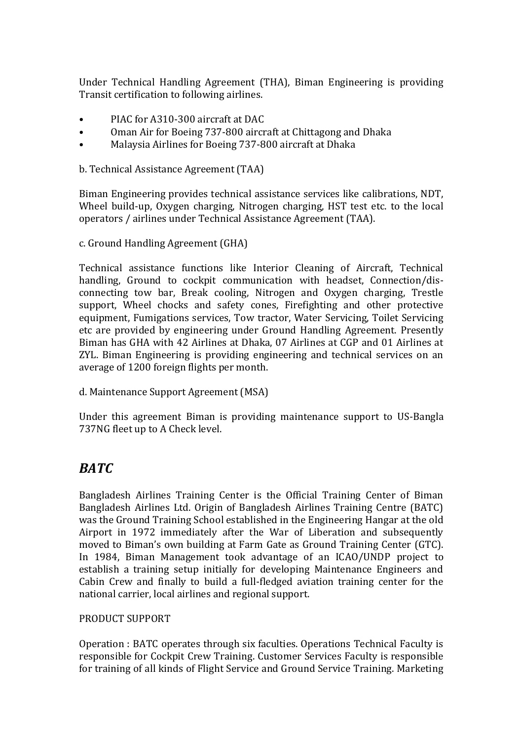Under Technical Handling Agreement (THA), Biman Engineering is providing Transit certification to following airlines.

- PIAC for A310-300 aircraft at DAC
- Oman Air for Boeing 737-800 aircraft at Chittagong and Dhaka
- Malaysia Airlines for Boeing 737-800 aircraft at Dhaka

b. Technical Assistance Agreement (TAA)

Biman Engineering provides technical assistance services like calibrations, NDT, Wheel build-up, Oxygen charging, Nitrogen charging, HST test etc. to the local operators / airlines under Technical Assistance Agreement (TAA).

c. Ground Handling Agreement (GHA)

Technical assistance functions like Interior Cleaning of Aircraft, Technical handling, Ground to cockpit communication with headset, Connection/disconnecting tow bar, Break cooling, Nitrogen and Oxygen charging, Trestle support, Wheel chocks and safety cones, Firefighting and other protective equipment, Fumigations services, Tow tractor, Water Servicing, Toilet Servicing etc are provided by engineering under Ground Handling Agreement. Presently Biman has GHA with 42 Airlines at Dhaka, 07 Airlines at CGP and 01 Airlines at ZYL. Biman Engineering is providing engineering and technical services on an average of 1200 foreign flights per month.

d. Maintenance Support Agreement (MSA)

Under this agreement Biman is providing maintenance support to US-Bangla 737NG fleet up to A Check level.

### *BATC*

Bangladesh Airlines Training Center is the Official Training Center of Biman Bangladesh Airlines Ltd. Origin of Bangladesh Airlines Training Centre (BATC) was the Ground Training School established in the Engineering Hangar at the old Airport in 1972 immediately after the War of Liberation and subsequently moved to Biman's own building at Farm Gate as Ground Training Center (GTC). In 1984, Biman Management took advantage of an ICAO/UNDP project to establish a training setup initially for developing Maintenance Engineers and Cabin Crew and finally to build a full-fledged aviation training center for the national carrier, local airlines and regional support.

### PRODUCT SUPPORT

Operation : BATC operates through six faculties. Operations Technical Faculty is responsible for Cockpit Crew Training. Customer Services Faculty is responsible for training of all kinds of Flight Service and Ground Service Training. Marketing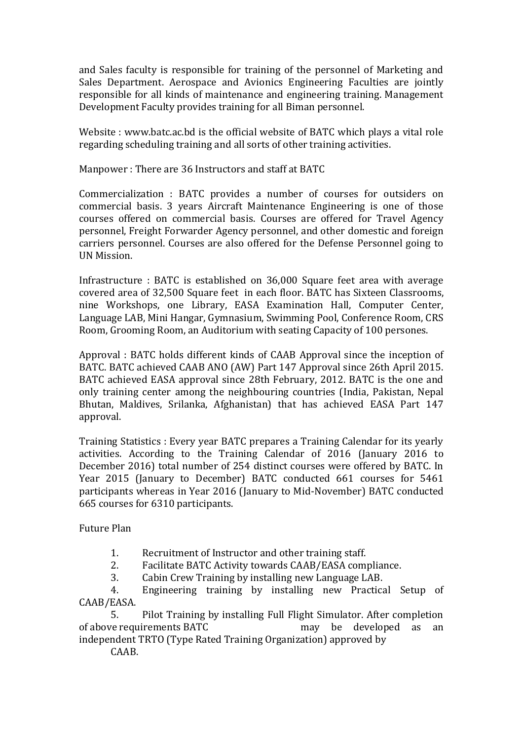and Sales faculty is responsible for training of the personnel of Marketing and Sales Department. Aerospace and Avionics Engineering Faculties are jointly responsible for all kinds of maintenance and engineering training. Management Development Faculty provides training for all Biman personnel.

Website : www.batc.ac.bd is the official website of BATC which plays a vital role regarding scheduling training and all sorts of other training activities.

Manpower : There are 36 Instructors and staff at BATC

Commercialization : BATC provides a number of courses for outsiders on commercial basis. 3 years Aircraft Maintenance Engineering is one of those courses offered on commercial basis. Courses are offered for Travel Agency personnel, Freight Forwarder Agency personnel, and other domestic and foreign carriers personnel. Courses are also offered for the Defense Personnel going to UN Mission.

Infrastructure : BATC is established on 36,000 Square feet area with average covered area of 32,500 Square feet in each floor. BATC has Sixteen Classrooms, nine Workshops, one Library, EASA Examination Hall, Computer Center, Language LAB, Mini Hangar, Gymnasium, Swimming Pool, Conference Room, CRS Room, Grooming Room, an Auditorium with seating Capacity of 100 persones.

Approval : BATC holds different kinds of CAAB Approval since the inception of BATC. BATC achieved CAAB ANO (AW) Part 147 Approval since 26th April 2015. BATC achieved EASA approval since 28th February, 2012. BATC is the one and only training center among the neighbouring countries (India, Pakistan, Nepal Bhutan, Maldives, Srilanka, Afghanistan) that has achieved EASA Part 147 approval.

Training Statistics : Every year BATC prepares a Training Calendar for its yearly activities. According to the Training Calendar of 2016 (January 2016 to December 2016) total number of 254 distinct courses were offered by BATC. In Year 2015 (January to December) BATC conducted 661 courses for 5461 participants whereas in Year 2016 (January to Mid-November) BATC conducted 665 courses for 6310 participants.

Future Plan

- 1. Recruitment of Instructor and other training staff.
- 2. Facilitate BATC Activity towards CAAB/EASA compliance.
- 3. Cabin Crew Training by installing new Language LAB.

4. Engineering training by installing new Practical Setup of CAAB/EASA.

5. Pilot Training by installing Full Flight Simulator. After completion of above requirements BATC may be developed as an independent TRTO (Type Rated Training Organization) approved by

CAAB.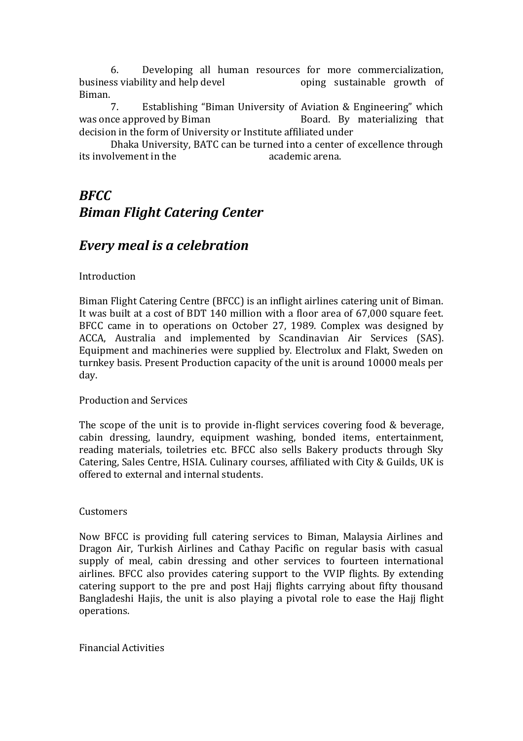6. Developing all human resources for more commercialization, business viability and help devel oping sustainable growth of Biman.

7. Establishing "Biman University of Aviation & Engineering" which was once approved by Biman Board. By materializing that decision in the form of University or Institute affiliated under

Dhaka University, BATC can be turned into a center of excellence through its involvement in the academic arena.

# *BFCC Biman Flight Catering Center*

### *Every meal is a celebration*

### Introduction

Biman Flight Catering Centre (BFCC) is an inflight airlines catering unit of Biman. It was built at a cost of BDT 140 million with a floor area of 67,000 square feet. BFCC came in to operations on October 27, 1989. Complex was designed by ACCA, Australia and implemented by Scandinavian Air Services (SAS). Equipment and machineries were supplied by. Electrolux and Flakt, Sweden on turnkey basis. Present Production capacity of the unit is around 10000 meals per day.

#### Production and Services

The scope of the unit is to provide in-flight services covering food & beverage, cabin dressing, laundry, equipment washing, bonded items, entertainment, reading materials, toiletries etc. BFCC also sells Bakery products through Sky Catering, Sales Centre, HSIA. Culinary courses, affiliated with City & Guilds, UK is offered to external and internal students.

#### Customers

Now BFCC is providing full catering services to Biman, Malaysia Airlines and Dragon Air, Turkish Airlines and Cathay Pacific on regular basis with casual supply of meal, cabin dressing and other services to fourteen international airlines. BFCC also provides catering support to the VVIP flights. By extending catering support to the pre and post Hajj flights carrying about fifty thousand Bangladeshi Hajis, the unit is also playing a pivotal role to ease the Hajj flight operations.

Financial Activities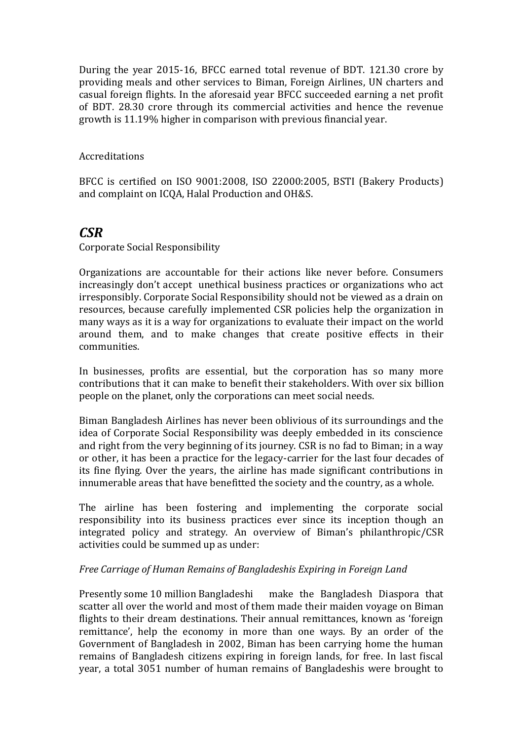During the year 2015-16, BFCC earned total revenue of BDT. 121.30 crore by providing meals and other services to Biman, Foreign Airlines, UN charters and casual foreign flights. In the aforesaid year BFCC succeeded earning a net profit of BDT. 28.30 crore through its commercial activities and hence the revenue growth is 11.19% higher in comparison with previous financial year.

### Accreditations

BFCC is certified on ISO 9001:2008, ISO 22000:2005, BSTI (Bakery Products) and complaint on ICQA, Halal Production and OH&S.

### *CSR*

Corporate Social Responsibility

Organizations are accountable for their actions like never before. Consumers increasingly don't accept unethical business practices or organizations who act irresponsibly. Corporate Social Responsibility should not be viewed as a drain on resources, because carefully implemented CSR policies help the organization in many ways as it is a way for organizations to evaluate their impact on the world around them, and to make changes that create positive effects in their communities.

In businesses, profits are essential, but the corporation has so many more contributions that it can make to benefit their stakeholders. With over six billion people on the planet, only the corporations can meet social needs.

Biman Bangladesh Airlines has never been oblivious of its surroundings and the idea of Corporate Social Responsibility was deeply embedded in its conscience and right from the very beginning of its journey. CSR is no fad to Biman; in a way or other, it has been a practice for the legacy-carrier for the last four decades of its fine flying. Over the years, the airline has made significant contributions in innumerable areas that have benefitted the society and the country, as a whole.

The airline has been fostering and implementing the corporate social responsibility into its business practices ever since its inception though an integrated policy and strategy. An overview of Biman's philanthropic/CSR activities could be summed up as under:

### *Free Carriage of Human Remains of Bangladeshis Expiring in Foreign Land*

Presently some 10 million Bangladeshi make the Bangladesh Diaspora that scatter all over the world and most of them made their maiden voyage on Biman flights to their dream destinations. Their annual remittances, known as 'foreign remittance', help the economy in more than one ways. By an order of the Government of Bangladesh in 2002, Biman has been carrying home the human remains of Bangladesh citizens expiring in foreign lands, for free. In last fiscal year, a total 3051 number of human remains of Bangladeshis were brought to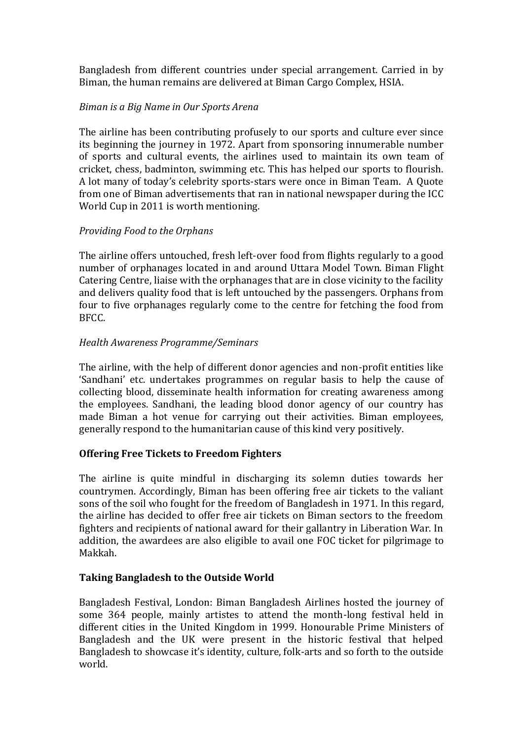Bangladesh from different countries under special arrangement. Carried in by Biman, the human remains are delivered at Biman Cargo Complex, HSIA.

### *Biman is a Big Name in Our Sports Arena*

The airline has been contributing profusely to our sports and culture ever since its beginning the journey in 1972. Apart from sponsoring innumerable number of sports and cultural events, the airlines used to maintain its own team of cricket, chess, badminton, swimming etc. This has helped our sports to flourish. A lot many of today's celebrity sports-stars were once in Biman Team. A Quote from one of Biman advertisements that ran in national newspaper during the ICC World Cup in 2011 is worth mentioning.

### *Providing Food to the Orphans*

The airline offers untouched, fresh left-over food from flights regularly to a good number of orphanages located in and around Uttara Model Town. Biman Flight Catering Centre, liaise with the orphanages that are in close vicinity to the facility and delivers quality food that is left untouched by the passengers. Orphans from four to five orphanages regularly come to the centre for fetching the food from BFCC.

### *Health Awareness Programme/Seminars*

The airline, with the help of different donor agencies and non-profit entities like 'Sandhani' etc. undertakes programmes on regular basis to help the cause of collecting blood, disseminate health information for creating awareness among the employees. Sandhani, the leading blood donor agency of our country has made Biman a hot venue for carrying out their activities. Biman employees, generally respond to the humanitarian cause of this kind very positively.

### **Offering Free Tickets to Freedom Fighters**

The airline is quite mindful in discharging its solemn duties towards her countrymen. Accordingly, Biman has been offering free air tickets to the valiant sons of the soil who fought for the freedom of Bangladesh in 1971. In this regard, the airline has decided to offer free air tickets on Biman sectors to the freedom fighters and recipients of national award for their gallantry in Liberation War. In addition, the awardees are also eligible to avail one FOC ticket for pilgrimage to Makkah.

### **Taking Bangladesh to the Outside World**

Bangladesh Festival, London: Biman Bangladesh Airlines hosted the journey of some 364 people, mainly artistes to attend the month-long festival held in different cities in the United Kingdom in 1999. Honourable Prime Ministers of Bangladesh and the UK were present in the historic festival that helped Bangladesh to showcase it's identity, culture, folk-arts and so forth to the outside world.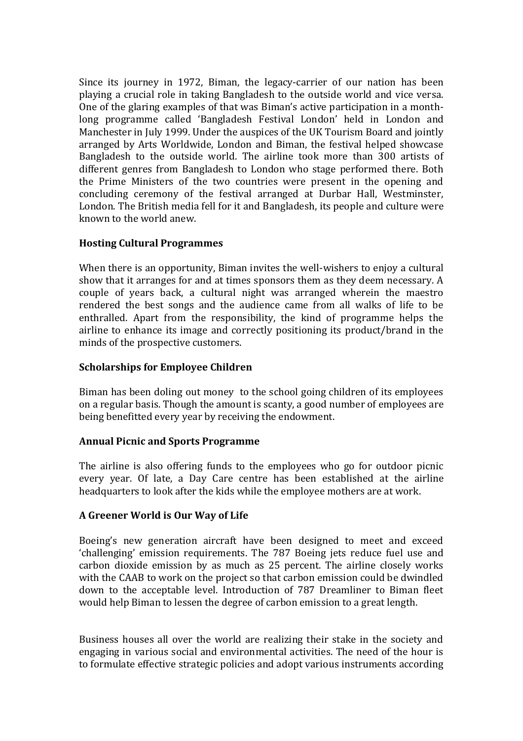Since its journey in 1972, Biman, the legacy-carrier of our nation has been playing a crucial role in taking Bangladesh to the outside world and vice versa. One of the glaring examples of that was Biman's active participation in a monthlong programme called 'Bangladesh Festival London' held in London and Manchester in July 1999. Under the auspices of the UK Tourism Board and jointly arranged by Arts Worldwide, London and Biman, the festival helped showcase Bangladesh to the outside world. The airline took more than 300 artists of different genres from Bangladesh to London who stage performed there. Both the Prime Ministers of the two countries were present in the opening and concluding ceremony of the festival arranged at Durbar Hall, Westminster, London. The British media fell for it and Bangladesh, its people and culture were known to the world anew.

### **Hosting Cultural Programmes**

When there is an opportunity, Biman invites the well-wishers to enjoy a cultural show that it arranges for and at times sponsors them as they deem necessary. A couple of years back, a cultural night was arranged wherein the maestro rendered the best songs and the audience came from all walks of life to be enthralled. Apart from the responsibility, the kind of programme helps the airline to enhance its image and correctly positioning its product/brand in the minds of the prospective customers.

### **Scholarships for Employee Children**

Biman has been doling out money to the school going children of its employees on a regular basis. Though the amount is scanty, a good number of employees are being benefitted every year by receiving the endowment.

### **Annual Picnic and Sports Programme**

The airline is also offering funds to the employees who go for outdoor picnic every year. Of late, a Day Care centre has been established at the airline headquarters to look after the kids while the employee mothers are at work.

### **A Greener World is Our Way of Life**

Boeing's new generation aircraft have been designed to meet and exceed 'challenging' emission requirements. The 787 Boeing jets reduce fuel use and carbon dioxide emission by as much as 25 percent. The airline closely works with the CAAB to work on the project so that carbon emission could be dwindled down to the acceptable level. Introduction of 787 Dreamliner to Biman fleet would help Biman to lessen the degree of carbon emission to a great length.

Business houses all over the world are realizing their stake in the society and engaging in various social and environmental activities. The need of the hour is to formulate effective strategic policies and adopt various instruments according